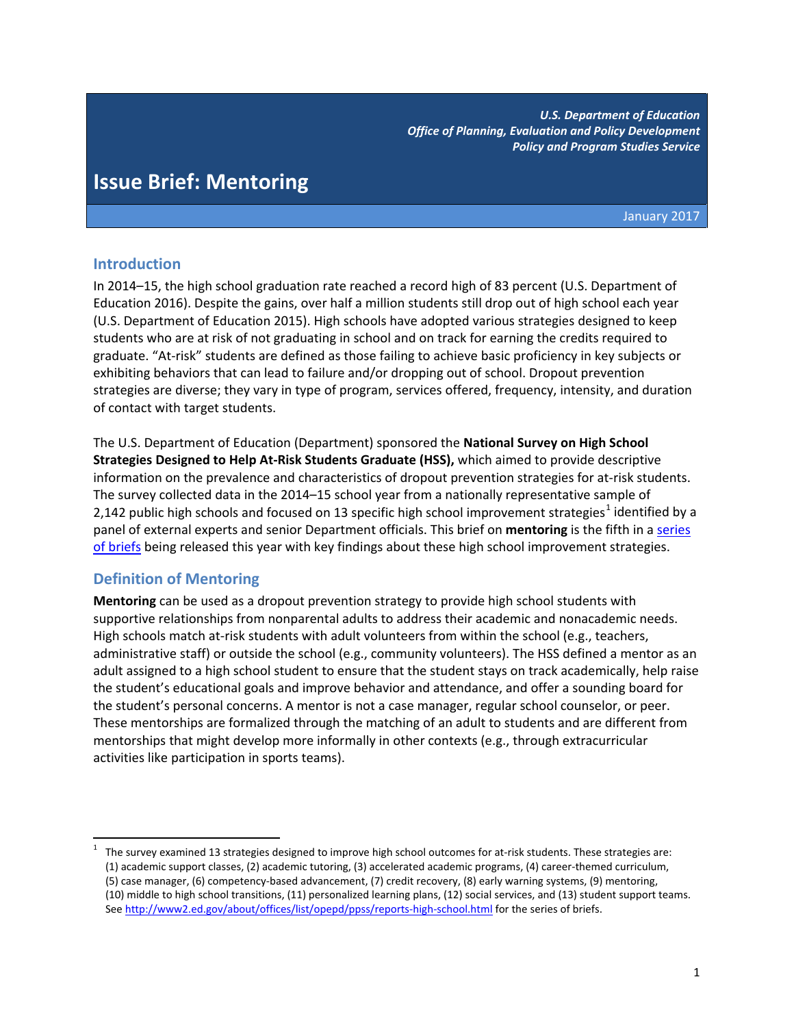*U.S. Department of Education Office of Planning, Evaluation and Policy Development Policy and Program Studies Service*

# **Issue Brief: Mentoring**

January 2017

## **Introduction**

In 2014–15, the high school graduation rate reached a record high of 83 percent (U.S. Department of Education 2016). Despite the gains, over half a million students still drop out of high school each year (U.S. Department of Education 2015). High schools have adopted various strategies designed to keep students who are at risk of not graduating in school and on track for earning the credits required to graduate. "At-risk" students are defined as those failing to achieve basic proficiency in key subjects or exhibiting behaviors that can lead to failure and/or dropping out of school. Dropout prevention strategies are diverse; they vary in type of program, services offered, frequency, intensity, and duration of contact with target students.

The U.S. Department of Education (Department) sponsored the **National Survey on High School Strategies Designed to Help At-Risk Students Graduate (HSS),** which aimed to provide descriptive information on the prevalence and characteristics of dropout prevention strategies for at-risk students. The survey collected data in the 2014–15 school year from a nationally representative sample of 2,[1](#page-0-0)42 public high schools and focused on 13 specific high school improvement strategies<sup>1</sup> identified by a panel of external experts and senior Department officials. This brief on **mentoring** is the fifth in a [series](http://www2.ed.gov/about/offices/list/opepd/ppss/reports-high-school.html)  [of briefs](http://www2.ed.gov/about/offices/list/opepd/ppss/reports-high-school.html) being released this year with key findings about these high school improvement strategies.

## **Definition of Mentoring**

 $\overline{\phantom{a}}$ 

**Mentoring** can be used as a dropout prevention strategy to provide high school students with supportive relationships from nonparental adults to address their academic and nonacademic needs. High schools match at-risk students with adult volunteers from within the school (e.g., teachers, administrative staff) or outside the school (e.g., community volunteers). The HSS defined a mentor as an adult assigned to a high school student to ensure that the student stays on track academically, help raise the student's educational goals and improve behavior and attendance, and offer a sounding board for the student's personal concerns. A mentor is not a case manager, regular school counselor, or peer. These mentorships are formalized through the matching of an adult to students and are different from mentorships that might develop more informally in other contexts (e.g., through extracurricular activities like participation in sports teams).

<span id="page-0-0"></span><sup>1</sup> The survey examined 13 strategies designed to improve high school outcomes for at-risk students. These strategies are: (1) academic support classes, (2) academic tutoring, (3) accelerated academic programs, (4) career-themed curriculum, (5) case manager, (6) competency-based advancement, (7) credit recovery, (8) early warning systems, (9) mentoring, (10) middle to high school transitions, (11) personalized learning plans, (12) social services, and (13) student support teams. Se[e http://www2.ed.gov/about/offices/list/opepd/ppss/reports-high-school.html](http://www2.ed.gov/about/offices/list/opepd/ppss/reports-high-school.html) for the series of briefs.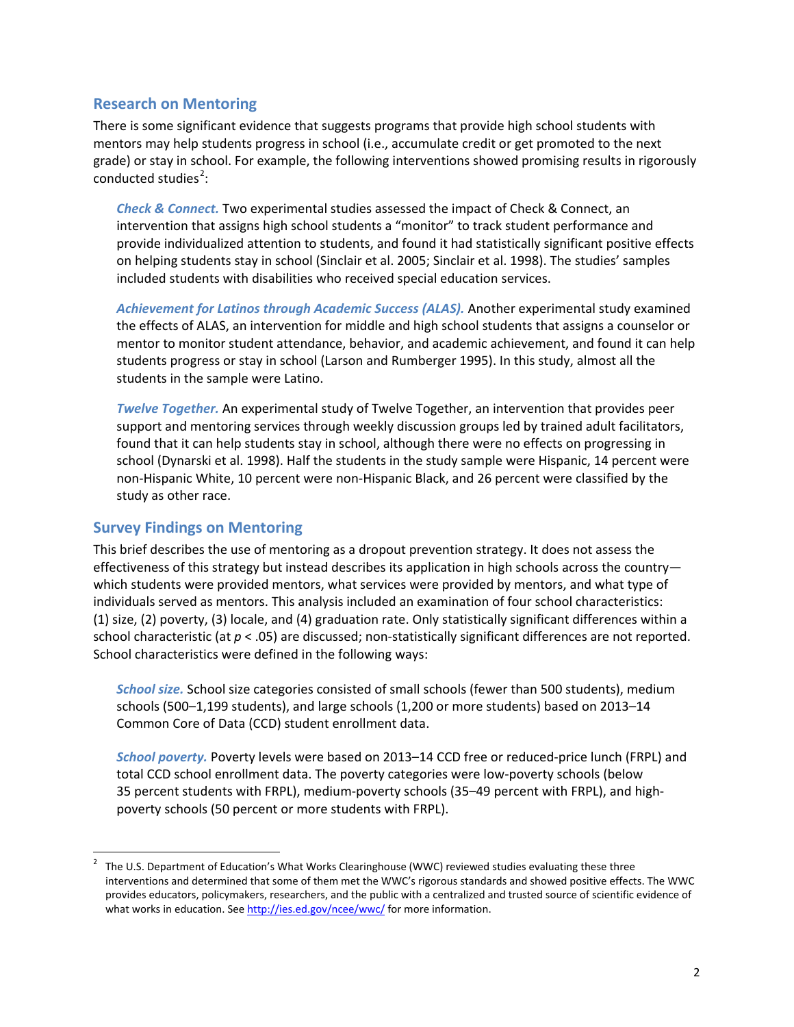## **Research on Mentoring**

There is some significant evidence that suggests programs that provide high school students with mentors may help students progress in school (i.e., accumulate credit or get promoted to the next grade) or stay in school. For example, the following interventions showed promising results in rigorously conducted studies<sup>[2](#page-1-0)</sup>:

*Check & Connect.* Two experimental studies assessed the impact of Check & Connect, an intervention that assigns high school students a "monitor" to track student performance and provide individualized attention to students, and found it had statistically significant positive effects on helping students stay in school (Sinclair et al. 2005; Sinclair et al. 1998). The studies' samples included students with disabilities who received special education services.

*Achievement for Latinos through Academic Success (ALAS).* Another experimental study examined the effects of ALAS, an intervention for middle and high school students that assigns a counselor or mentor to monitor student attendance, behavior, and academic achievement, and found it can help students progress or stay in school (Larson and Rumberger 1995). In this study, almost all the students in the sample were Latino.

*Twelve Together.* An experimental study of Twelve Together, an intervention that provides peer support and mentoring services through weekly discussion groups led by trained adult facilitators, found that it can help students stay in school, although there were no effects on progressing in school (Dynarski et al. 1998). Half the students in the study sample were Hispanic, 14 percent were non-Hispanic White, 10 percent were non-Hispanic Black, and 26 percent were classified by the study as other race.

## **Survey Findings on Mentoring**

This brief describes the use of mentoring as a dropout prevention strategy. It does not assess the effectiveness of this strategy but instead describes its application in high schools across the country which students were provided mentors, what services were provided by mentors, and what type of individuals served as mentors. This analysis included an examination of four school characteristics: (1) size, (2) poverty, (3) locale, and (4) graduation rate. Only statistically significant differences within a school characteristic (at *p* < .05) are discussed; non-statistically significant differences are not reported. School characteristics were defined in the following ways:

*School size.* School size categories consisted of small schools (fewer than 500 students), medium schools (500–1,199 students), and large schools (1,200 or more students) based on 2013–14 Common Core of Data (CCD) student enrollment data.

*School poverty.* Poverty levels were based on 2013–14 CCD free or reduced-price lunch (FRPL) and total CCD school enrollment data. The poverty categories were low-poverty schools (below 35 percent students with FRPL), medium-poverty schools (35–49 percent with FRPL), and highpoverty schools (50 percent or more students with FRPL).

<span id="page-1-0"></span><sup>&</sup>lt;sup>2</sup> The U.S. Department of Education's What Works Clearinghouse (WWC) reviewed studies evaluating these three interventions and determined that some of them met the WWC's rigorous standards and showed positive effects. The WWC provides educators, policymakers, researchers, and the public with a centralized and trusted source of scientific evidence of what works in education. Se[e http://ies.ed.gov/ncee/wwc/](http://ies.ed.gov/ncee/wwc/) for more information.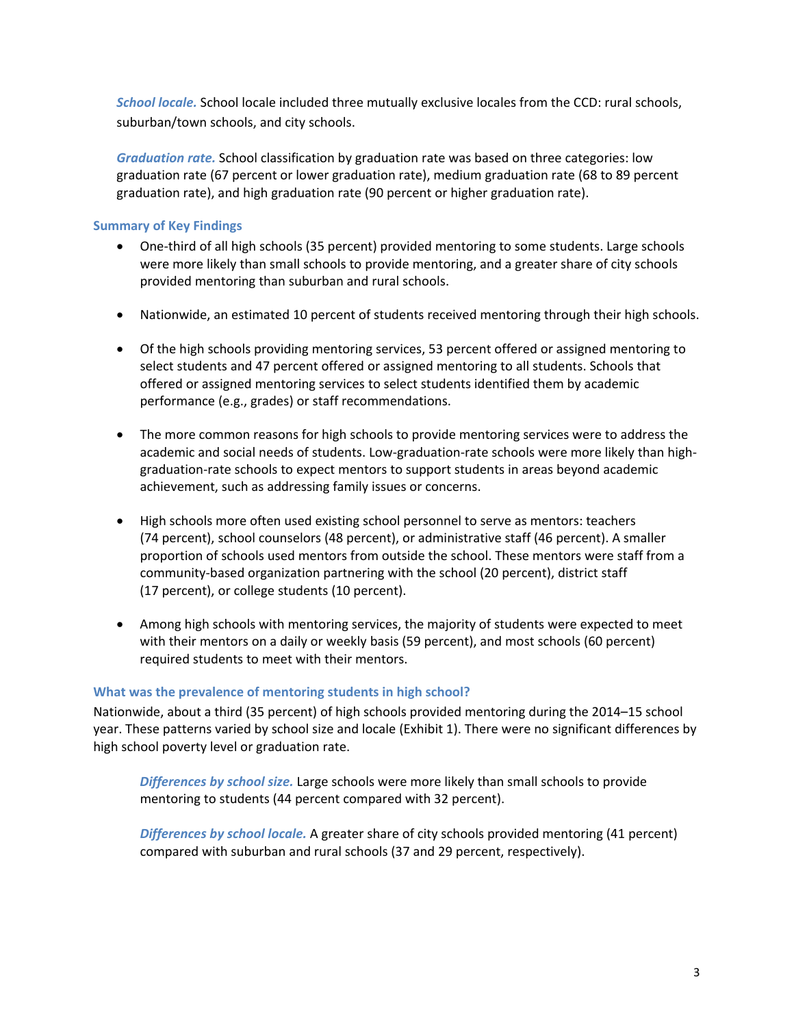*School locale.* School locale included three mutually exclusive locales from the CCD: rural schools, suburban/town schools, and city schools.

*Graduation rate.* School classification by graduation rate was based on three categories: low graduation rate (67 percent or lower graduation rate), medium graduation rate (68 to 89 percent graduation rate), and high graduation rate (90 percent or higher graduation rate).

## **Summary of Key Findings**

- One-third of all high schools (35 percent) provided mentoring to some students. Large schools were more likely than small schools to provide mentoring, and a greater share of city schools provided mentoring than suburban and rural schools.
- Nationwide, an estimated 10 percent of students received mentoring through their high schools.
- Of the high schools providing mentoring services, 53 percent offered or assigned mentoring to select students and 47 percent offered or assigned mentoring to all students. Schools that offered or assigned mentoring services to select students identified them by academic performance (e.g., grades) or staff recommendations.
- The more common reasons for high schools to provide mentoring services were to address the academic and social needs of students. Low-graduation-rate schools were more likely than highgraduation-rate schools to expect mentors to support students in areas beyond academic achievement, such as addressing family issues or concerns.
- High schools more often used existing school personnel to serve as mentors: teachers (74 percent), school counselors (48 percent), or administrative staff (46 percent). A smaller proportion of schools used mentors from outside the school. These mentors were staff from a community-based organization partnering with the school (20 percent), district staff (17 percent), or college students (10 percent).
- Among high schools with mentoring services, the majority of students were expected to meet with their mentors on a daily or weekly basis (59 percent), and most schools (60 percent) required students to meet with their mentors.

#### **What was the prevalence of mentoring students in high school?**

Nationwide, about a third (35 percent) of high schools provided mentoring during the 2014–15 school year. These patterns varied by school size and locale (Exhibit 1). There were no significant differences by high school poverty level or graduation rate.

*Differences by school size.* Large schools were more likely than small schools to provide mentoring to students (44 percent compared with 32 percent).

*Differences by school locale.* A greater share of city schools provided mentoring (41 percent) compared with suburban and rural schools (37 and 29 percent, respectively).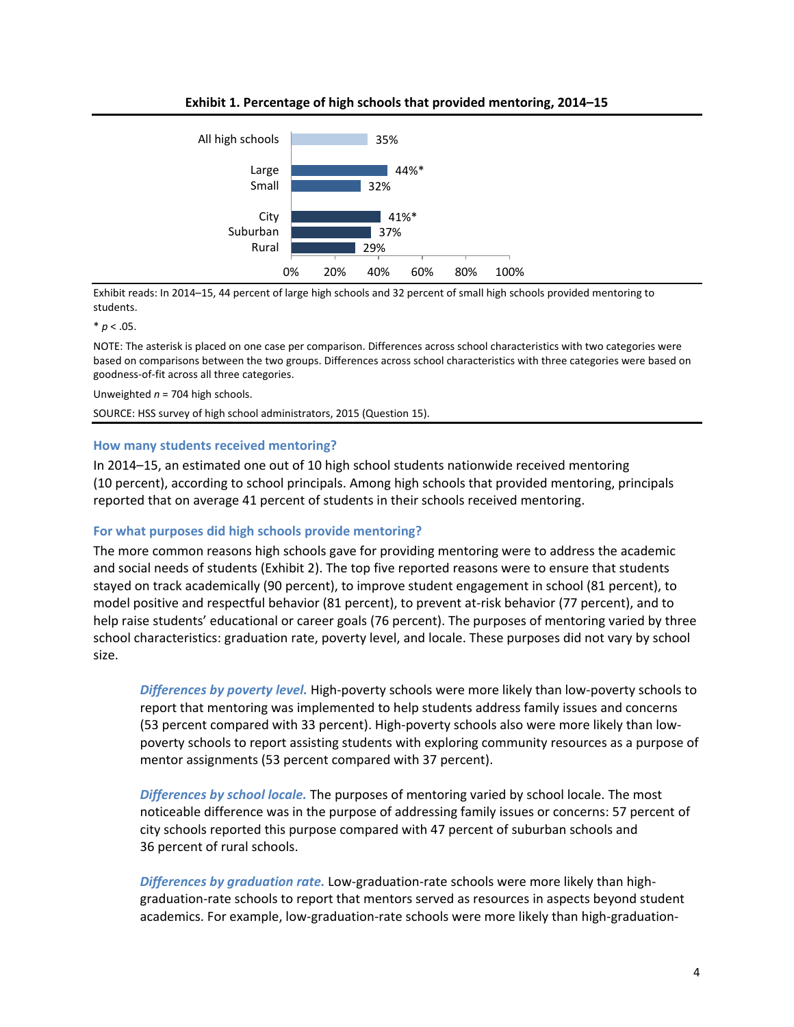

**Exhibit 1. Percentage of high schools that provided mentoring, 2014–15**

Exhibit reads: In 2014–15, 44 percent of large high schools and 32 percent of small high schools provided mentoring to students.

 $* p < .05.$ 

NOTE: The asterisk is placed on one case per comparison. Differences across school characteristics with two categories were based on comparisons between the two groups. Differences across school characteristics with three categories were based on goodness-of-fit across all three categories.

Unweighted *n* = 704 high schools.

SOURCE: HSS survey of high school administrators, 2015 (Question 15).

#### **How many students received mentoring?**

In 2014–15, an estimated one out of 10 high school students nationwide received mentoring (10 percent), according to school principals. Among high schools that provided mentoring, principals reported that on average 41 percent of students in their schools received mentoring.

#### **For what purposes did high schools provide mentoring?**

The more common reasons high schools gave for providing mentoring were to address the academic and social needs of students (Exhibit 2). The top five reported reasons were to ensure that students stayed on track academically (90 percent), to improve student engagement in school (81 percent), to model positive and respectful behavior (81 percent), to prevent at-risk behavior (77 percent), and to help raise students' educational or career goals (76 percent). The purposes of mentoring varied by three school characteristics: graduation rate, poverty level, and locale. These purposes did not vary by school size.

*Differences by poverty level.* High-poverty schools were more likely than low-poverty schools to report that mentoring was implemented to help students address family issues and concerns (53 percent compared with 33 percent). High-poverty schools also were more likely than lowpoverty schools to report assisting students with exploring community resources as a purpose of mentor assignments (53 percent compared with 37 percent).

*Differences by school locale.* The purposes of mentoring varied by school locale. The most noticeable difference was in the purpose of addressing family issues or concerns: 57 percent of city schools reported this purpose compared with 47 percent of suburban schools and 36 percent of rural schools.

*Differences by graduation rate.* Low-graduation-rate schools were more likely than highgraduation-rate schools to report that mentors served as resources in aspects beyond student academics. For example, low-graduation-rate schools were more likely than high-graduation-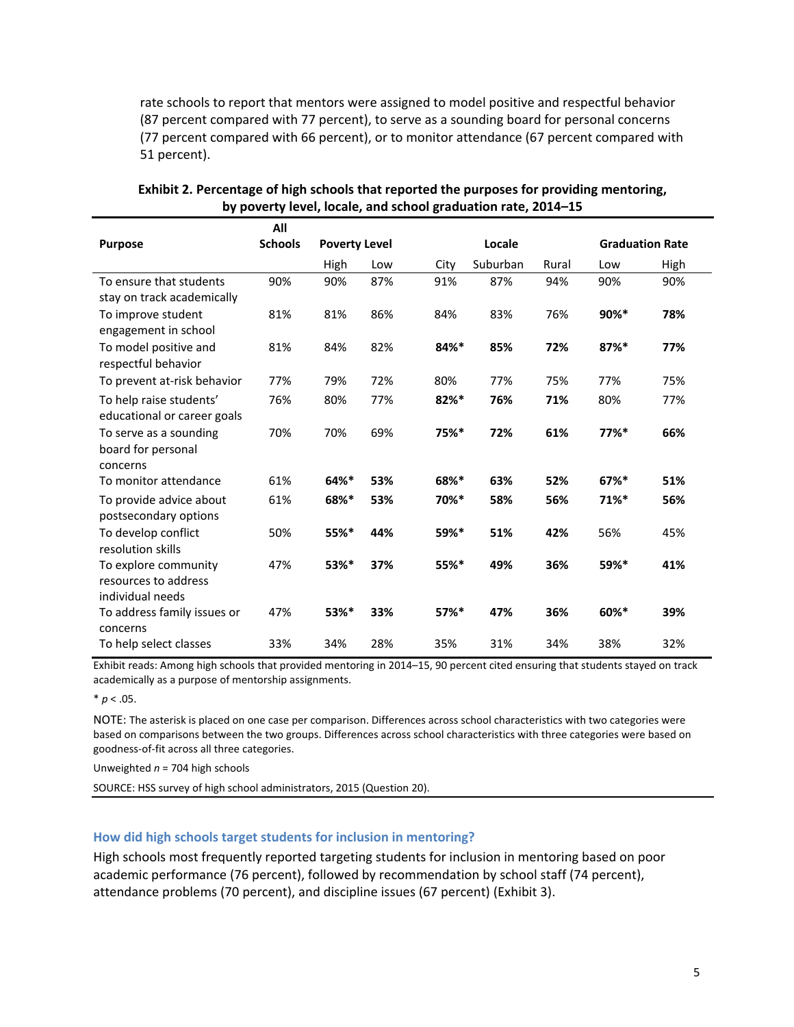rate schools to report that mentors were assigned to model positive and respectful behavior (87 percent compared with 77 percent), to serve as a sounding board for personal concerns (77 percent compared with 66 percent), or to monitor attendance (67 percent compared with 51 percent).

|                                                  | All            |                      |     |         |          |                        |                     |      |
|--------------------------------------------------|----------------|----------------------|-----|---------|----------|------------------------|---------------------|------|
| <b>Purpose</b>                                   | <b>Schools</b> | <b>Poverty Level</b> |     | Locale  |          | <b>Graduation Rate</b> |                     |      |
|                                                  |                | High                 | Low | City    | Suburban | Rural                  | Low                 | High |
| To ensure that students                          | 90%            | 90%                  | 87% | 91%     | 87%      | 94%                    | 90%                 | 90%  |
| stay on track academically                       |                |                      |     |         |          |                        |                     |      |
| To improve student                               | 81%            | 81%                  | 86% | 84%     | 83%      | 76%                    | $90\%$ *            | 78%  |
| engagement in school                             |                |                      |     |         |          |                        |                     |      |
| To model positive and<br>respectful behavior     | 81%            | 84%                  | 82% | 84%*    | 85%      | 72%                    | $87%$ *             | 77%  |
| To prevent at-risk behavior                      | 77%            | 79%                  | 72% | 80%     | 77%      | 75%                    | 77%                 | 75%  |
| To help raise students'                          | 76%            | 80%                  | 77% | $82%$ * | 76%      | 71%                    | 80%                 | 77%  |
| educational or career goals                      |                |                      |     |         |          |                        |                     |      |
| To serve as a sounding                           | 70%            | 70%                  | 69% | 75%*    | 72%      | 61%                    | $77%$ *             | 66%  |
| board for personal                               |                |                      |     |         |          |                        |                     |      |
| concerns                                         |                |                      |     |         |          |                        |                     |      |
| To monitor attendance                            | 61%            | 64%*                 | 53% | 68%*    | 63%      | 52%                    | $67\%$ <sup>*</sup> | 51%  |
| To provide advice about<br>postsecondary options | 61%            | 68%*                 | 53% | 70%*    | 58%      | 56%                    | 71%*                | 56%  |
| To develop conflict                              | 50%            | 55%*                 | 44% | 59%*    | 51%      | 42%                    | 56%                 | 45%  |
| resolution skills                                |                |                      |     |         |          |                        |                     |      |
| To explore community                             | 47%            | 53%*                 | 37% | 55%*    | 49%      | 36%                    | 59%*                | 41%  |
| resources to address                             |                |                      |     |         |          |                        |                     |      |
| individual needs                                 |                |                      |     |         |          |                        |                     |      |
| To address family issues or                      | 47%            | 53%*                 | 33% | $57%$ * | 47%      | 36%                    | 60%*                | 39%  |
| concerns                                         |                |                      |     |         |          |                        |                     |      |
| To help select classes                           | 33%            | 34%                  | 28% | 35%     | 31%      | 34%                    | 38%                 | 32%  |

**Exhibit 2. Percentage of high schools that reported the purposes for providing mentoring, by poverty level, locale, and school graduation rate, 2014–15**

Exhibit reads: Among high schools that provided mentoring in 2014–15, 90 percent cited ensuring that students stayed on track academically as a purpose of mentorship assignments.

 $* p < .05.$ 

NOTE: The asterisk is placed on one case per comparison. Differences across school characteristics with two categories were based on comparisons between the two groups. Differences across school characteristics with three categories were based on goodness-of-fit across all three categories.

Unweighted *n* = 704 high schools

SOURCE: HSS survey of high school administrators, 2015 (Question 20).

#### **How did high schools target students for inclusion in mentoring?**

High schools most frequently reported targeting students for inclusion in mentoring based on poor academic performance (76 percent), followed by recommendation by school staff (74 percent), attendance problems (70 percent), and discipline issues (67 percent) (Exhibit 3).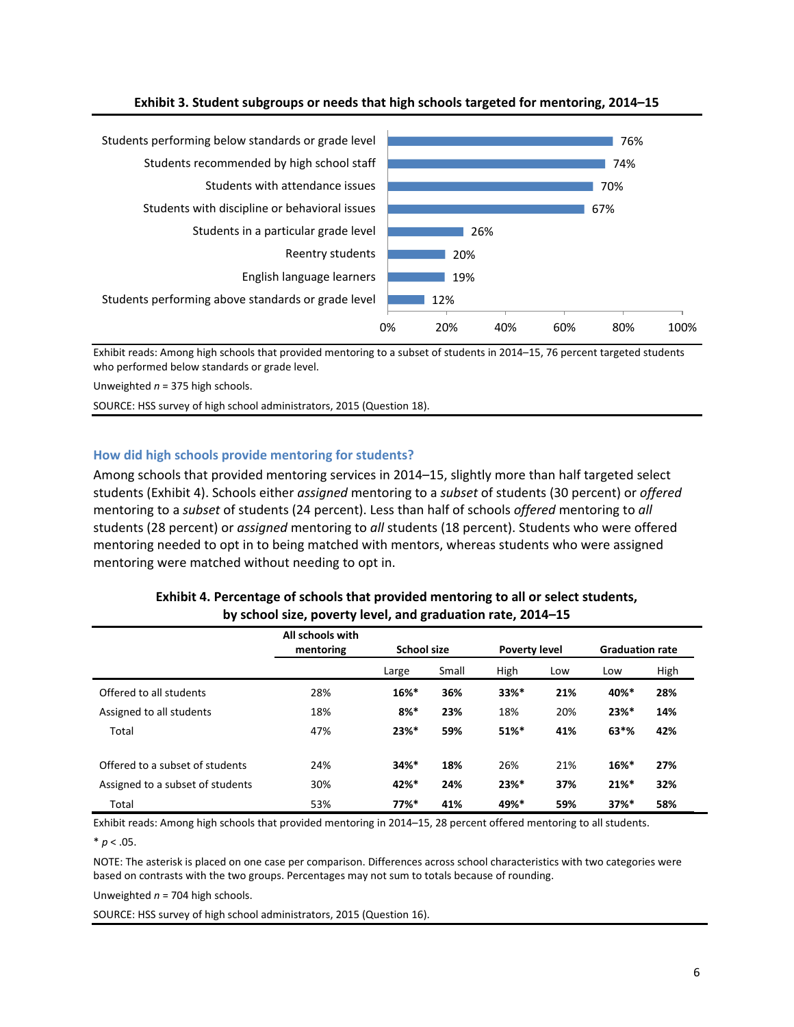

#### **Exhibit 3. Student subgroups or needs that high schools targeted for mentoring, 2014–15**

Exhibit reads: Among high schools that provided mentoring to a subset of students in 2014–15, 76 percent targeted students who performed below standards or grade level.

Unweighted *n* = 375 high schools.

SOURCE: HSS survey of high school administrators, 2015 (Question 18).

#### **How did high schools provide mentoring for students?**

Among schools that provided mentoring services in 2014–15, slightly more than half targeted select students (Exhibit 4). Schools either *assigned* mentoring to a *subset* of students (30 percent) or *offered* mentoring to a *subset* of students (24 percent). Less than half of schools *offered* mentoring to *all* students (28 percent) or *assigned* mentoring to *all* students (18 percent). Students who were offered mentoring needed to opt in to being matched with mentors, whereas students who were assigned mentoring were matched without needing to opt in.

|                                  | All schools with<br>mentoring | <b>School size</b> |       | <b>Poverty level</b> |     | <b>Graduation rate</b> |      |
|----------------------------------|-------------------------------|--------------------|-------|----------------------|-----|------------------------|------|
|                                  |                               | Large              | Small | High                 | Low | Low                    | High |
| Offered to all students          | 28%                           | $16\%$ *           | 36%   | $33%$ *              | 21% | 40%*                   | 28%  |
| Assigned to all students         | 18%                           | $8%$ *             | 23%   | 18%                  | 20% | $23%$ *                | 14%  |
| Total                            | 47%                           | $23%$ *            | 59%   | 51%*                 | 41% | $63*$ %                | 42%  |
| Offered to a subset of students  | 24%                           | 34%*               | 18%   | 26%                  | 21% | $16\%$ *               | 27%  |
| Assigned to a subset of students | 30%                           | 42%*               | 24%   | $23%$ *              | 37% | 21%                    | 32%  |
| Total                            | 53%                           | $77%$ *            | 41%   | 49%*                 | 59% | $37%$ *                | 58%  |

#### **Exhibit 4. Percentage of schools that provided mentoring to all or select students, by school size, poverty level, and graduation rate, 2014–15**

Exhibit reads: Among high schools that provided mentoring in 2014–15, 28 percent offered mentoring to all students.

 $* p < .05.$ 

NOTE: The asterisk is placed on one case per comparison. Differences across school characteristics with two categories were based on contrasts with the two groups. Percentages may not sum to totals because of rounding.

Unweighted *n* = 704 high schools.

SOURCE: HSS survey of high school administrators, 2015 (Question 16).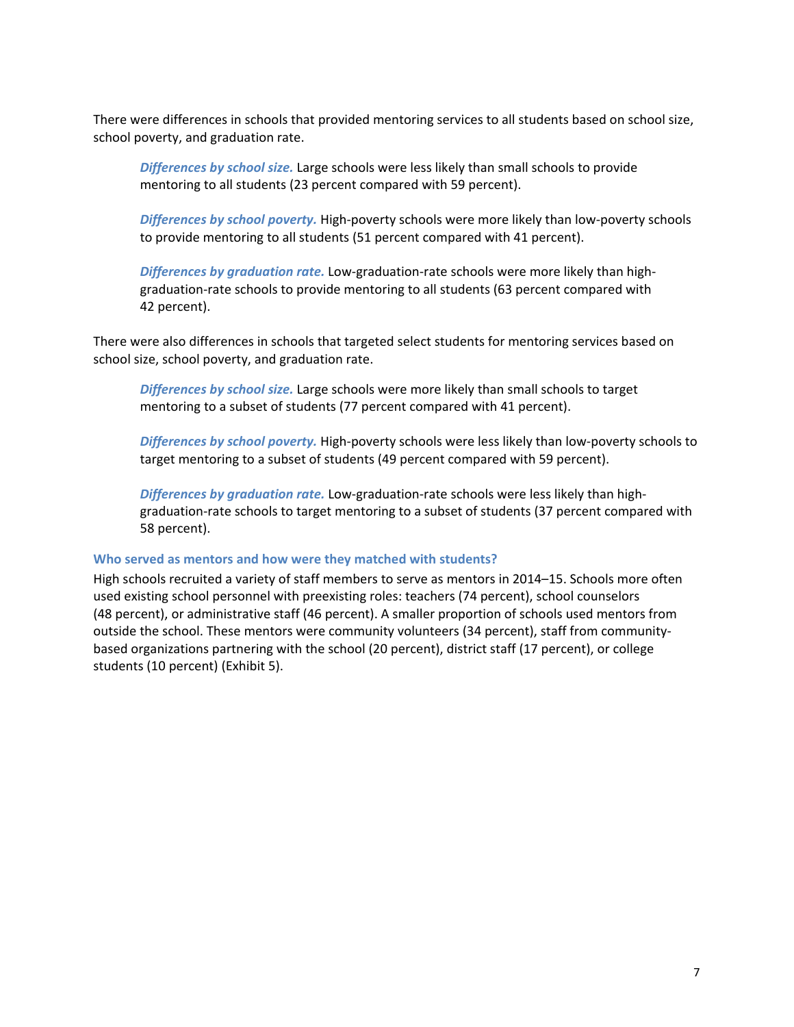There were differences in schools that provided mentoring services to all students based on school size, school poverty, and graduation rate.

*Differences by school size.* Large schools were less likely than small schools to provide mentoring to all students (23 percent compared with 59 percent).

*Differences by school poverty.* High-poverty schools were more likely than low-poverty schools to provide mentoring to all students (51 percent compared with 41 percent).

*Differences by graduation rate.* Low-graduation-rate schools were more likely than highgraduation-rate schools to provide mentoring to all students (63 percent compared with 42 percent).

There were also differences in schools that targeted select students for mentoring services based on school size, school poverty, and graduation rate.

*Differences by school size.* Large schools were more likely than small schools to target mentoring to a subset of students (77 percent compared with 41 percent).

*Differences by school poverty.* High-poverty schools were less likely than low-poverty schools to target mentoring to a subset of students (49 percent compared with 59 percent).

*Differences by graduation rate.* Low-graduation-rate schools were less likely than highgraduation-rate schools to target mentoring to a subset of students (37 percent compared with 58 percent).

#### **Who served as mentors and how were they matched with students?**

High schools recruited a variety of staff members to serve as mentors in 2014–15. Schools more often used existing school personnel with preexisting roles: teachers (74 percent), school counselors (48 percent), or administrative staff (46 percent). A smaller proportion of schools used mentors from outside the school. These mentors were community volunteers (34 percent), staff from communitybased organizations partnering with the school (20 percent), district staff (17 percent), or college students (10 percent) (Exhibit 5).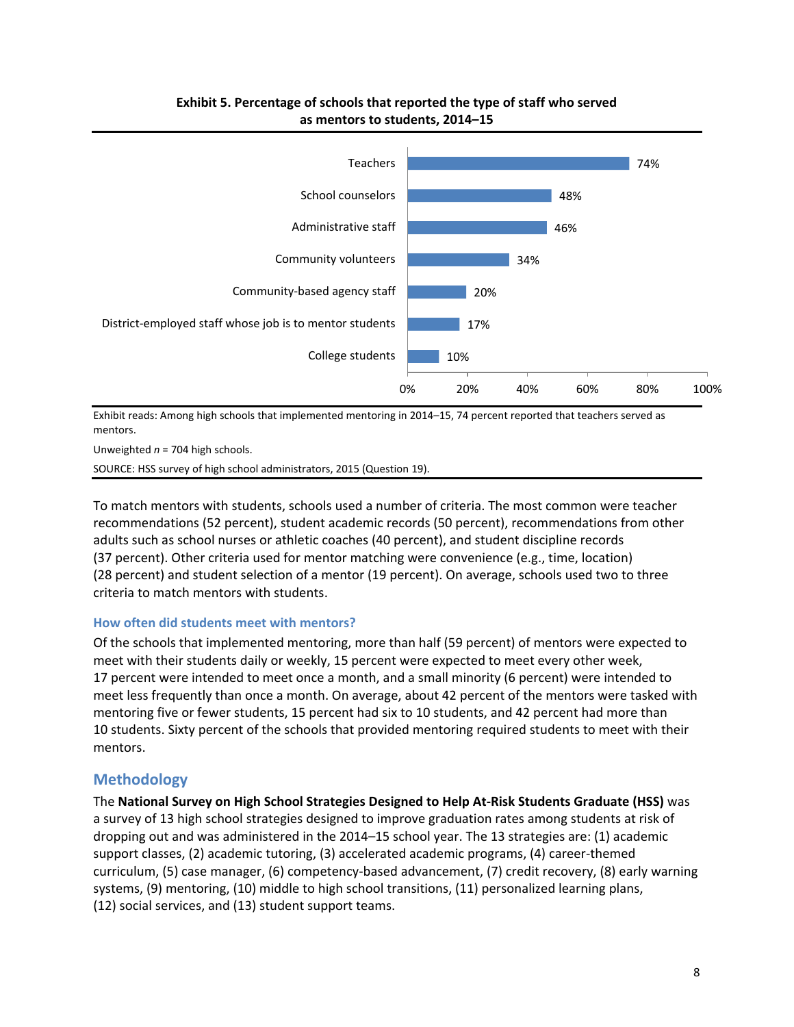

## **Exhibit 5. Percentage of schools that reported the type of staff who served as mentors to students, 2014–15**

Exhibit reads: Among high schools that implemented mentoring in 2014–15, 74 percent reported that teachers served as mentors.

Unweighted *n* = 704 high schools.

SOURCE: HSS survey of high school administrators, 2015 (Question 19).

To match mentors with students, schools used a number of criteria. The most common were teacher recommendations (52 percent), student academic records (50 percent), recommendations from other adults such as school nurses or athletic coaches (40 percent), and student discipline records (37 percent). Other criteria used for mentor matching were convenience (e.g., time, location) (28 percent) and student selection of a mentor (19 percent). On average, schools used two to three criteria to match mentors with students.

#### **How often did students meet with mentors?**

Of the schools that implemented mentoring, more than half (59 percent) of mentors were expected to meet with their students daily or weekly, 15 percent were expected to meet every other week, 17 percent were intended to meet once a month, and a small minority (6 percent) were intended to meet less frequently than once a month. On average, about 42 percent of the mentors were tasked with mentoring five or fewer students, 15 percent had six to 10 students, and 42 percent had more than 10 students. Sixty percent of the schools that provided mentoring required students to meet with their mentors.

## **Methodology**

The **National Survey on High School Strategies Designed to Help At-Risk Students Graduate (HSS)** was a survey of 13 high school strategies designed to improve graduation rates among students at risk of dropping out and was administered in the 2014–15 school year. The 13 strategies are: (1) academic support classes, (2) academic tutoring, (3) accelerated academic programs, (4) career-themed curriculum, (5) case manager, (6) competency-based advancement, (7) credit recovery, (8) early warning systems, (9) mentoring, (10) middle to high school transitions, (11) personalized learning plans, (12) social services, and (13) student support teams.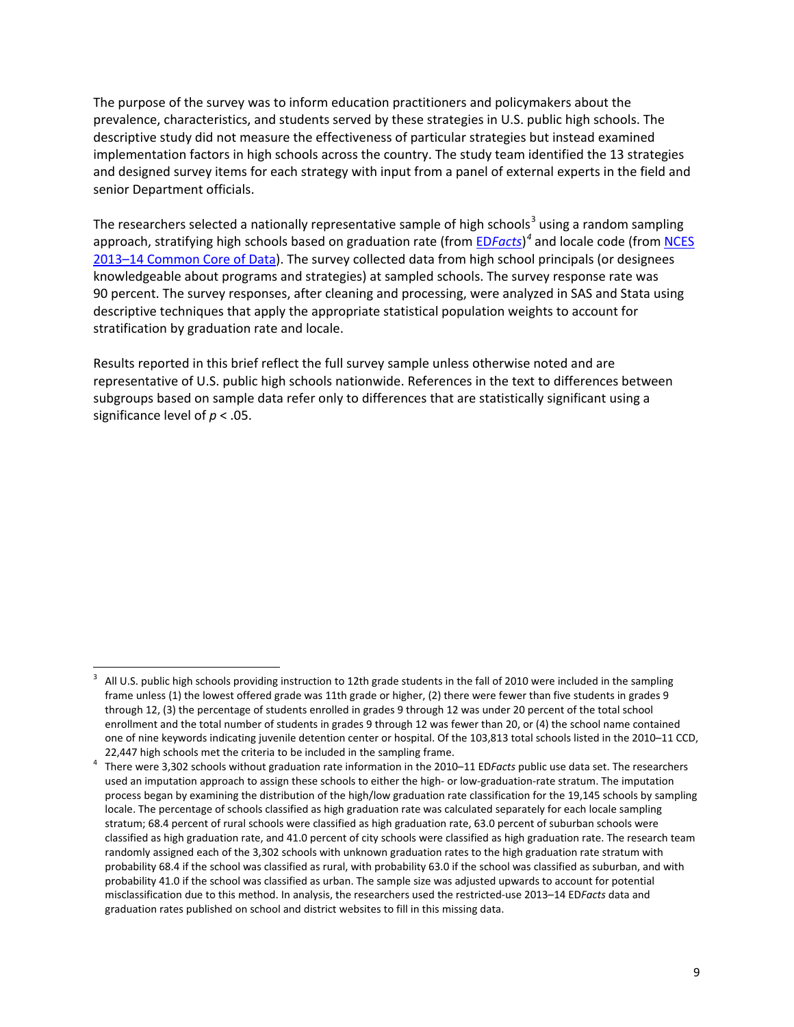The purpose of the survey was to inform education practitioners and policymakers about the prevalence, characteristics, and students served by these strategies in U.S. public high schools. The descriptive study did not measure the effectiveness of particular strategies but instead examined implementation factors in high schools across the country. The study team identified the 13 strategies and designed survey items for each strategy with input from a panel of external experts in the field and senior Department officials.

The researchers selected a nationally representative sample of high schools<sup>[3](#page-8-0)</sup> using a random sampling approach, stratifying high schools based on graduation rate (from ED*[Facts](http://www2.ed.gov/about/inits/ed/edfacts/data-files/index.html)*) *[4](#page-8-1)* and locale code (from [NCES](https://nces.ed.gov/ccd/pubschuniv.asp)  [2013–14 Common Core of Data\)](https://nces.ed.gov/ccd/pubschuniv.asp). The survey collected data from high school principals (or designees knowledgeable about programs and strategies) at sampled schools. The survey response rate was 90 percent. The survey responses, after cleaning and processing, were analyzed in SAS and Stata using descriptive techniques that apply the appropriate statistical population weights to account for stratification by graduation rate and locale.

Results reported in this brief reflect the full survey sample unless otherwise noted and are representative of U.S. public high schools nationwide. References in the text to differences between subgroups based on sample data refer only to differences that are statistically significant using a significance level of *p* < .05.

 $\overline{\phantom{a}}$ 

<span id="page-8-0"></span><sup>3</sup> All U.S. public high schools providing instruction to 12th grade students in the fall of 2010 were included in the sampling frame unless (1) the lowest offered grade was 11th grade or higher, (2) there were fewer than five students in grades 9 through 12, (3) the percentage of students enrolled in grades 9 through 12 was under 20 percent of the total school enrollment and the total number of students in grades 9 through 12 was fewer than 20, or (4) the school name contained one of nine keywords indicating juvenile detention center or hospital. Of the 103,813 total schools listed in the 2010–11 CCD, 22,447 high schools met the criteria to be included in the sampling frame.

<span id="page-8-1"></span>There were 3,302 schools without graduation rate information in the 2010–11 ED*Facts* public use data set. The researchers used an imputation approach to assign these schools to either the high- or low-graduation-rate stratum. The imputation process began by examining the distribution of the high/low graduation rate classification for the 19,145 schools by sampling locale. The percentage of schools classified as high graduation rate was calculated separately for each locale sampling stratum; 68.4 percent of rural schools were classified as high graduation rate, 63.0 percent of suburban schools were classified as high graduation rate, and 41.0 percent of city schools were classified as high graduation rate. The research team randomly assigned each of the 3,302 schools with unknown graduation rates to the high graduation rate stratum with probability 68.4 if the school was classified as rural, with probability 63.0 if the school was classified as suburban, and with probability 41.0 if the school was classified as urban. The sample size was adjusted upwards to account for potential misclassification due to this method. In analysis, the researchers used the restricted-use 2013–14 ED*Facts* data and graduation rates published on school and district websites to fill in this missing data.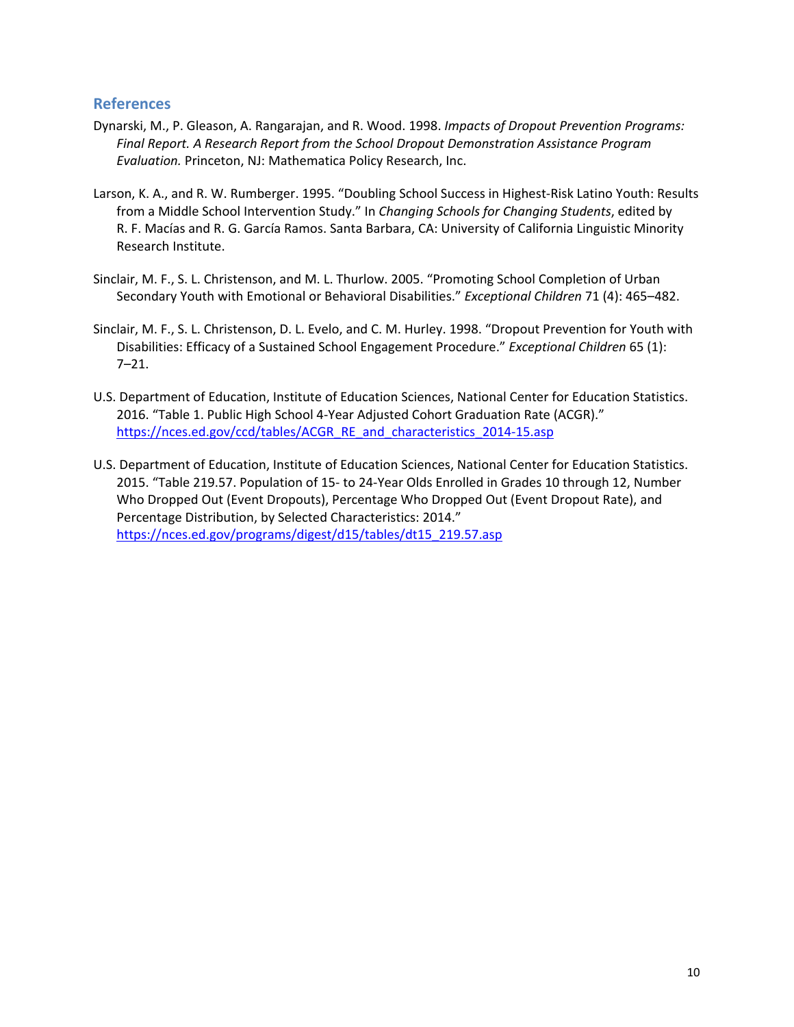## **References**

- Dynarski, M., P. Gleason, A. Rangarajan, and R. Wood. 1998. *Impacts of Dropout Prevention Programs: Final Report. A Research Report from the School Dropout Demonstration Assistance Program Evaluation.* Princeton, NJ: Mathematica Policy Research, Inc.
- Larson, K. A., and R. W. Rumberger. 1995. "Doubling School Success in Highest-Risk Latino Youth: Results from a Middle School Intervention Study." In *Changing Schools for Changing Students*, edited by R. F. Macías and R. G. García Ramos. Santa Barbara, CA: University of California Linguistic Minority Research Institute.
- Sinclair, M. F., S. L. Christenson, and M. L. Thurlow. 2005. "Promoting School Completion of Urban Secondary Youth with Emotional or Behavioral Disabilities." *Exceptional Children* 71 (4): 465–482.
- Sinclair, M. F., S. L. Christenson, D. L. Evelo, and C. M. Hurley. 1998. "Dropout Prevention for Youth with Disabilities: Efficacy of a Sustained School Engagement Procedure." *Exceptional Children* 65 (1): 7–21.
- U.S. Department of Education, Institute of Education Sciences, National Center for Education Statistics. 2016. "Table 1. Public High School 4-Year Adjusted Cohort Graduation Rate (ACGR)." [https://nces.ed.gov/ccd/tables/ACGR\\_RE\\_and\\_characteristics\\_2014-15.asp](https://nces.ed.gov/ccd/tables/ACGR_RE_and_characteristics_2014-15.asp)
- U.S. Department of Education, Institute of Education Sciences, National Center for Education Statistics. 2015. "Table 219.57. Population of 15- to 24-Year Olds Enrolled in Grades 10 through 12, Number Who Dropped Out (Event Dropouts), Percentage Who Dropped Out (Event Dropout Rate), and Percentage Distribution, by Selected Characteristics: 2014." [https://nces.ed.gov/programs/digest/d15/tables/dt15\\_219.57.asp](https://nces.ed.gov/programs/digest/d15/tables/dt15_219.57.asp)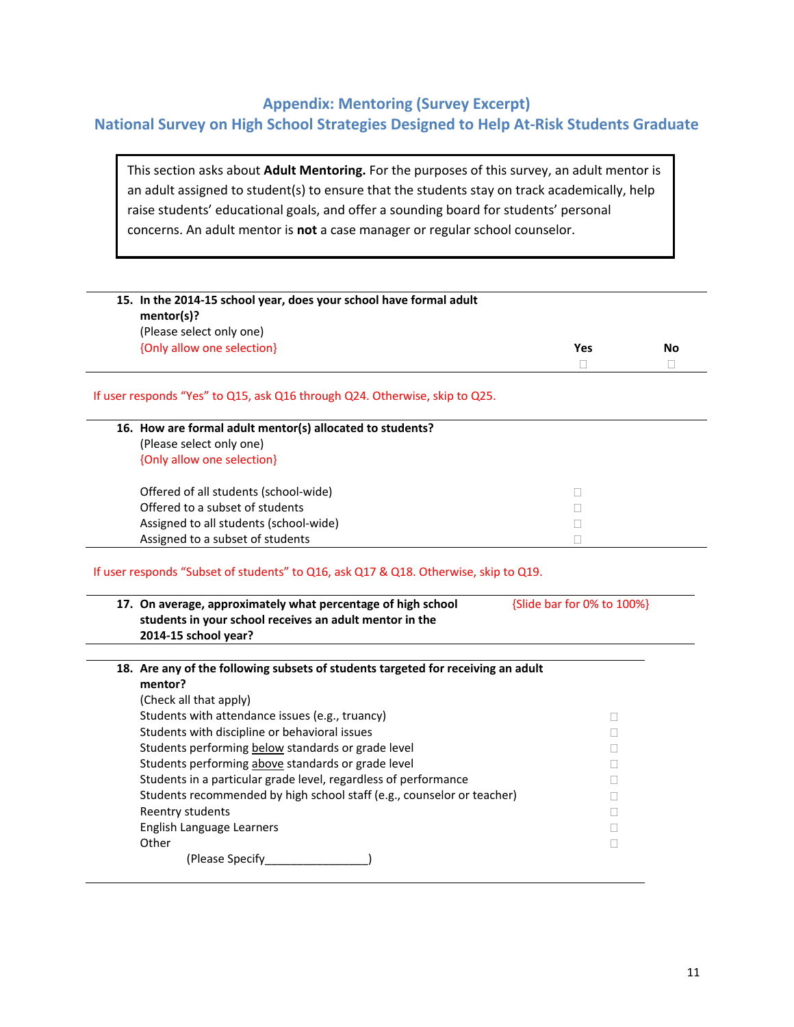## **Appendix: Mentoring (Survey Excerpt)**

## **National Survey on High School Strategies Designed to Help At-Risk Students Graduate**

This section asks about **Adult Mentoring.** For the purposes of this survey, an adult mentor is an adult assigned to student(s) to ensure that the students stay on track academically, help raise students' educational goals, and offer a sounding board for students' personal concerns. An adult mentor is **not** a case manager or regular school counselor.

| 15. In the 2014-15 school year, does your school have formal adult                                                       |                            |    |
|--------------------------------------------------------------------------------------------------------------------------|----------------------------|----|
| mentor(s)?                                                                                                               |                            |    |
| (Please select only one)                                                                                                 |                            |    |
| {Only allow one selection}                                                                                               | Yes                        | No |
|                                                                                                                          | П                          | П  |
| If user responds "Yes" to Q15, ask Q16 through Q24. Otherwise, skip to Q25.                                              |                            |    |
| 16. How are formal adult mentor(s) allocated to students?                                                                |                            |    |
| (Please select only one)                                                                                                 |                            |    |
| {Only allow one selection}                                                                                               |                            |    |
|                                                                                                                          |                            |    |
| Offered of all students (school-wide)                                                                                    | П                          |    |
| Offered to a subset of students                                                                                          | $\mathbf{I}$               |    |
|                                                                                                                          |                            |    |
| Assigned to all students (school-wide)                                                                                   |                            |    |
| Assigned to a subset of students<br>If user responds "Subset of students" to Q16, ask Q17 & Q18. Otherwise, skip to Q19. |                            |    |
| 17. On average, approximately what percentage of high school                                                             | {Slide bar for 0% to 100%} |    |
| students in your school receives an adult mentor in the                                                                  |                            |    |
| 2014-15 school year?                                                                                                     |                            |    |
|                                                                                                                          |                            |    |
| 18. Are any of the following subsets of students targeted for receiving an adult<br>mentor?                              |                            |    |
|                                                                                                                          |                            |    |
| (Check all that apply)                                                                                                   | $\mathbf{L}$               |    |
| Students with attendance issues (e.g., truancy)                                                                          |                            |    |
| Students with discipline or behavioral issues                                                                            | Ш                          |    |
| Students performing below standards or grade level                                                                       | П                          |    |
| Students performing above standards or grade level                                                                       | Ш                          |    |
| Students in a particular grade level, regardless of performance                                                          |                            |    |
| Students recommended by high school staff (e.g., counselor or teacher)                                                   | Ш                          |    |
| Reentry students<br>English Language Learners                                                                            | П                          |    |

(Please Specify\_\_\_\_\_\_\_\_\_\_\_\_\_\_\_\_)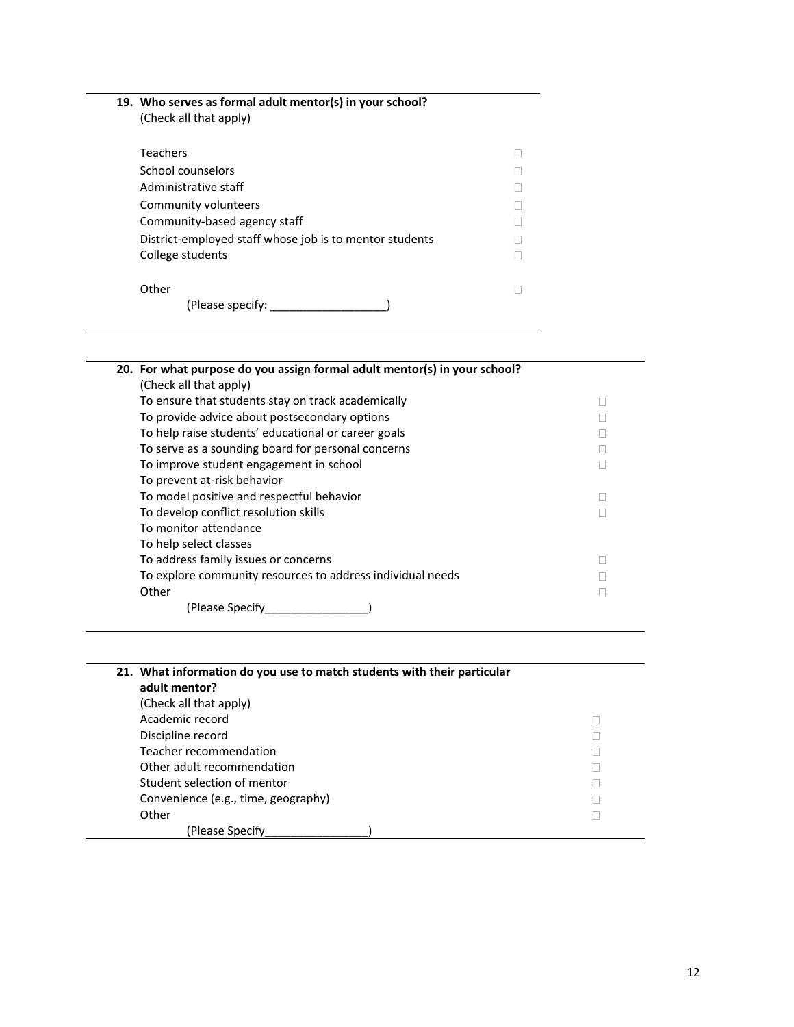| 19. Who serves as formal adult mentor(s) in your school?<br>(Check all that apply) |  |
|------------------------------------------------------------------------------------|--|
| Teachers                                                                           |  |
| School counselors                                                                  |  |
| Administrative staff                                                               |  |
| Community volunteers                                                               |  |
| Community-based agency staff                                                       |  |
| District-employed staff whose job is to mentor students                            |  |
| College students                                                                   |  |
| Other<br>(Please specify:                                                          |  |
|                                                                                    |  |

÷

| 20. For what purpose do you assign formal adult mentor(s) in your school? |  |
|---------------------------------------------------------------------------|--|
| (Check all that apply)                                                    |  |
| To ensure that students stay on track academically                        |  |
| To provide advice about postsecondary options                             |  |
| To help raise students' educational or career goals                       |  |
| To serve as a sounding board for personal concerns                        |  |
| To improve student engagement in school                                   |  |
| To prevent at-risk behavior                                               |  |
| To model positive and respectful behavior                                 |  |
| To develop conflict resolution skills                                     |  |
| To monitor attendance                                                     |  |
| To help select classes                                                    |  |
| To address family issues or concerns                                      |  |
| To explore community resources to address individual needs                |  |
| Other                                                                     |  |
| (Please Specify)                                                          |  |

| 21. What information do you use to match students with their particular<br>adult mentor? |  |
|------------------------------------------------------------------------------------------|--|
| (Check all that apply)                                                                   |  |
| Academic record                                                                          |  |
| Discipline record                                                                        |  |
| Teacher recommendation                                                                   |  |
| Other adult recommendation                                                               |  |
| Student selection of mentor                                                              |  |
| Convenience (e.g., time, geography)                                                      |  |
| Other                                                                                    |  |
| (Please Specify)                                                                         |  |